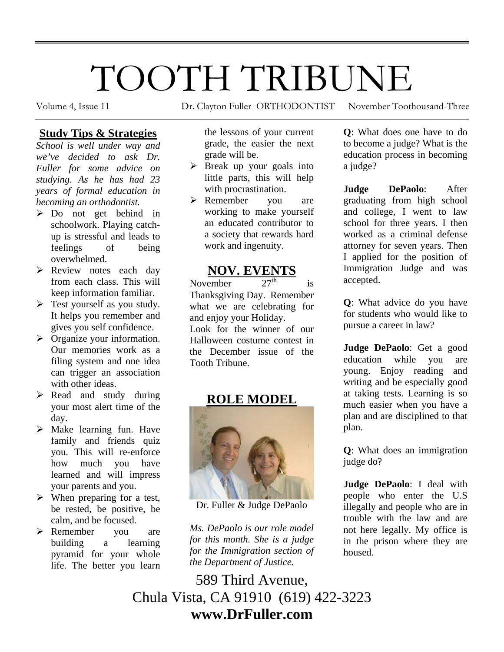# TOOTH TRIBUNE

Volume 4, Issue 11 Dr. Clayton Fuller ORTHODONTIST November Toothousand-Three

## **Study Tips & Strategies**

*School is well under way and we've decided to ask Dr. Fuller for some advice on studying. As he has had 23 years of formal education in becoming an orthodontist.* 

- $\triangleright$  Do not get behind in schoolwork. Playing catchup is stressful and leads to feelings of being overwhelmed.
- ¾ Review notes each day from each class. This will keep information familiar.
- $\triangleright$  Test yourself as you study. It helps you remember and gives you self confidence.
- $\triangleright$  Organize your information. Our memories work as a filing system and one idea can trigger an association with other ideas.
- ¾ Read and study during your most alert time of the day.
- $\triangleright$  Make learning fun. Have family and friends quiz you. This will re-enforce how much you have learned and will impress your parents and you.
- $\triangleright$  When preparing for a test, be rested, be positive, be calm, and be focused.
- ¾ Remember you are building a learning pyramid for your whole life. The better you learn

the lessons of your current grade, the easier the next grade will be.

- $\triangleright$  Break up your goals into little parts, this will help with procrastination.
- ¾ Remember you are working to make yourself an educated contributor to a society that rewards hard work and ingenuity.

# **NOV. EVENTS**<br>rember  $27^{\text{th}}$

November  $27<sup>th</sup>$  is Thanksgiving Day. Remember what we are celebrating for and enjoy your Holiday. Look for the winner of our Halloween costume contest in the December issue of the Tooth Tribune.

# **ROLE MODEL**



Dr. Fuller & Judge DePaolo

*Ms. DePaolo is our role model for this month. She is a judge for the Immigration section of the Department of Justice.* 

**Q**: What does one have to do to become a judge? What is the education process in becoming a judge?

**Judge DePaolo**: After graduating from high school and college, I went to law school for three years. I then worked as a criminal defense attorney for seven years. Then I applied for the position of Immigration Judge and was accepted.

**Q**: What advice do you have for students who would like to pursue a career in law?

**Judge DePaolo**: Get a good education while you are young. Enjoy reading and writing and be especially good at taking tests. Learning is so much easier when you have a plan and are disciplined to that plan.

**Q**: What does an immigration judge do?

**Judge DePaolo**: I deal with people who enter the U.S illegally and people who are in trouble with the law and are not here legally. My office is in the prison where they are housed.

589 Third Avenue, Chula Vista, CA 91910 (619) 422-3223 **www.DrFuller.com**